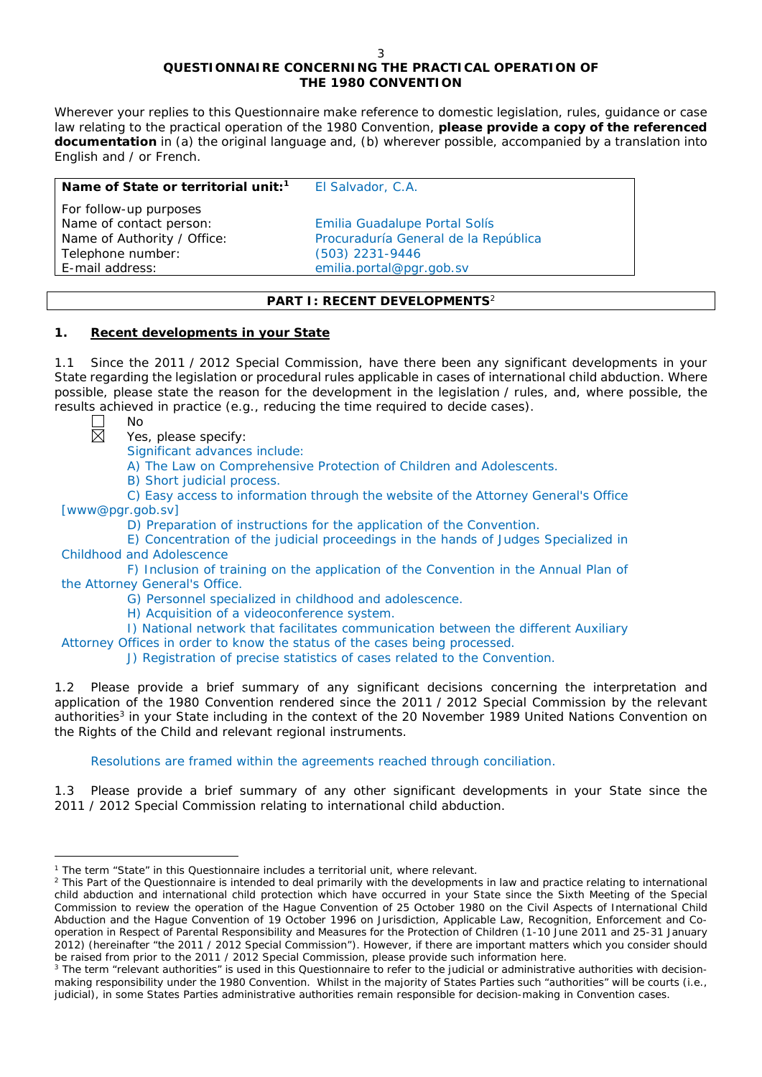# **QUESTIONNAIRE CONCERNING THE PRACTICAL OPERATION OF THE 1980 CONVENTION**

*Wherever your replies to this Questionnaire make reference to domestic legislation, rules, guidance or case*  law relating to the practical operation of the 1980 Convention, please provide a copy of the referenced *documentation in (a) the original language and, (b) wherever possible, accompanied by a translation into English and / or French.* 

| Name of State or territorial unit: <sup>1</sup> | El Salvador, C.A.                    |
|-------------------------------------------------|--------------------------------------|
| For follow-up purposes                          |                                      |
| Name of contact person:                         | Emilia Guadalupe Portal Solís        |
| Name of Authority / Office:                     | Procuraduría General de la República |
| Telephone number:                               | (503) 2231-9446                      |
| E-mail address:                                 | emilia.portal@pgr.gob.sv             |
|                                                 |                                      |

## **PART I: RECENT DEVELOPMENTS**<sup>2</sup>

## **1. Recent developments in your State**

1.1 Since the 2011 / 2012 Special Commission, have there been any significant developments in your State regarding the legislation or procedural rules applicable in cases of international child abduction. Where possible, please state the reason for the development in the legislation / rules, and, where possible, the results achieved in practice (*e.g.*, reducing the time required to decide cases). No

闵

 $\overline{a}$ 

Yes, please specify:

Significant advances include:

A) The Law on Comprehensive Protection of Children and Adolescents.

B) Short judicial process.

C) Easy access to information through the website of the Attorney General's Office [www@pgr.gob.sv]

D) Preparation of instructions for the application of the Convention.

E) Concentration of the judicial proceedings in the hands of Judges Specialized in Childhood and Adolescence

F) Inclusion of training on the application of the Convention in the Annual Plan of the Attorney General's Office.

G) Personnel specialized in childhood and adolescence.

H) Acquisition of a videoconference system.

I) National network that facilitates communication between the different Auxiliary

Attorney Offices in order to know the status of the cases being processed.

J) Registration of precise statistics of cases related to the Convention.

1.2 Please provide a brief summary of any significant decisions concerning the interpretation and application of the 1980 Convention rendered since the 2011 / 2012 Special Commission by the relevant authorities<sup>3</sup> in your State including in the context of the 20 November 1989 United Nations Convention on the Rights of the Child and relevant regional instruments.

Resolutions are framed within the agreements reached through conciliation.

1.3 Please provide a brief summary of any other significant developments in your State since the 2011 / 2012 Special Commission relating to international child abduction.

<sup>1</sup> The term "State" in this Questionnaire includes a territorial unit, where relevant.

<sup>&</sup>lt;sup>2</sup> This Part of the Questionnaire is intended to deal primarily with the developments in law and practice relating to international child abduction and international child protection which have occurred in your State since the Sixth Meeting of the Special Commission to review the operation of the *Hague Convention of 25 October 1980 on the Civil Aspects of International Child Abduction* and the *Hague Convention of 19 October 1996 on Jurisdiction, Applicable Law, Recognition, Enforcement and Cooperation in Respect of Parental Responsibility and Measures for the Protection of Children* (1-10 June 2011 and 25-31 January 2012) (hereinafter "the 2011 / 2012 Special Commission"). However, if there are important matters which you consider should be raised from *prior to* the 2011 / 2012 Special Commission, please provide such information here.

<sup>&</sup>lt;sup>3</sup> The term "relevant authorities" is used in this Questionnaire to refer to the judicial or administrative authorities with decisionmaking responsibility under the 1980 Convention. Whilst in the majority of States Parties such "authorities" will be courts (*i.e.*, judicial), in some States Parties administrative authorities remain responsible for decision-making in Convention cases.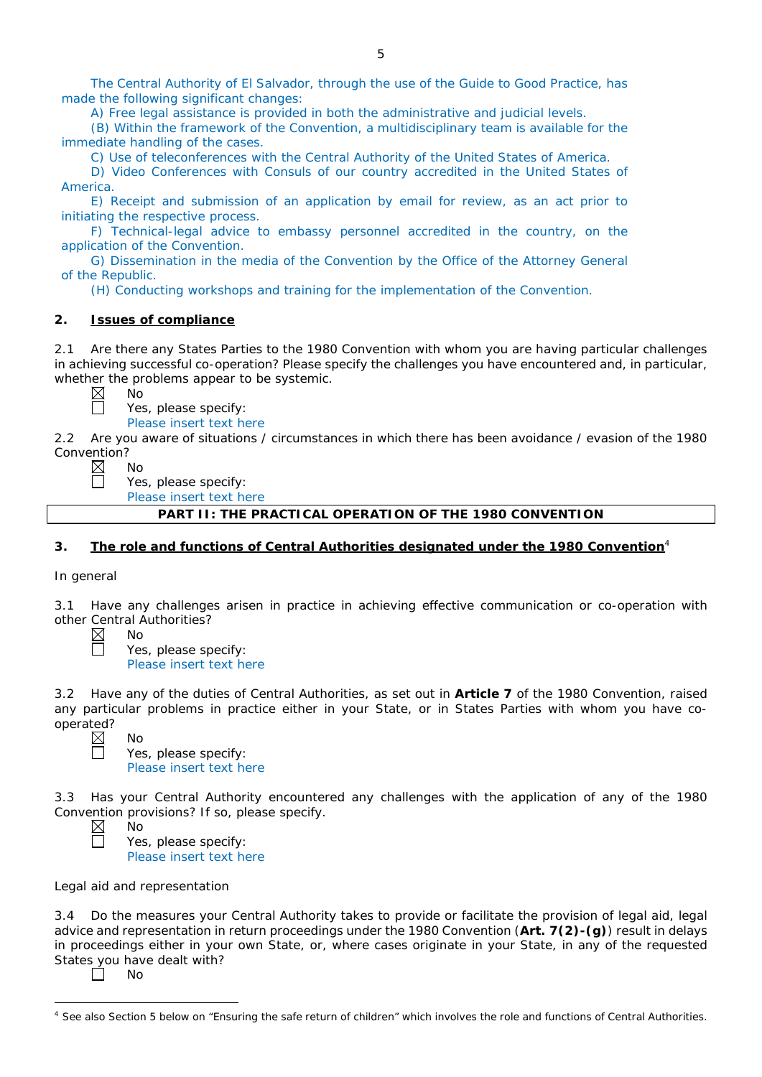The Central Authority of El Salvador, through the use of the Guide to Good Practice, has made the following significant changes:

A) Free legal assistance is provided in both the administrative and judicial levels.

(B) Within the framework of the Convention, a multidisciplinary team is available for the immediate handling of the cases.

C) Use of teleconferences with the Central Authority of the United States of America.

D) Video Conferences with Consuls of our country accredited in the United States of America.

E) Receipt and submission of an application by email for review, as an act prior to initiating the respective process.

F) Technical-legal advice to embassy personnel accredited in the country, on the application of the Convention.

G) Dissemination in the media of the Convention by the Office of the Attorney General of the Republic.

(H) Conducting workshops and training for the implementation of the Convention.

## **2. Issues of compliance**

2.1 Are there any States Parties to the 1980 Convention with whom you are having particular challenges in achieving successful co-operation? Please specify the challenges you have encountered and, in particular, whether the problems appear to be systemic.

No

No

No

No

No

Yes, please specify:

Please insert text here

2.2 Are you aware of situations / circumstances in which there has been avoidance / evasion of the 1980 Convention?

П

Yes, please specify:

Please insert text here

**PART II: THE PRACTICAL OPERATION OF THE 1980 CONVENTION**

## **3. The role and functions of Central Authorities designated under the 1980 Convention**<sup>4</sup>

## *In general*

3.1 Have any challenges arisen in practice in achieving effective communication or co-operation with other Central Authorities?

Yes, please specify: Please insert text here

3.2 Have any of the duties of Central Authorities, as set out in **Article 7** of the 1980 Convention, raised any particular problems in practice either in your State, or in States Parties with whom you have cooperated?<br>
<u>M</u>

Yes, please specify: Please insert text here

3.3 Has your Central Authority encountered any challenges with the application of any of the 1980 Convention provisions? If so, please specify.

Yes, please specify: Please insert text here

*Legal aid and representation*

3.4 Do the measures your Central Authority takes to provide or facilitate the provision of legal aid, legal advice and representation in return proceedings under the 1980 Convention (**Art. 7(2)-(g)**) result in delays in proceedings either in your own State, or, where cases originate in your State, in any of the requested States you have dealt with?

 $\Box$ No

 $\overline{a}$ 

<sup>&</sup>lt;sup>4</sup> See also Section 5 below on "Ensuring the safe return of children" which involves the role and functions of Central Authorities.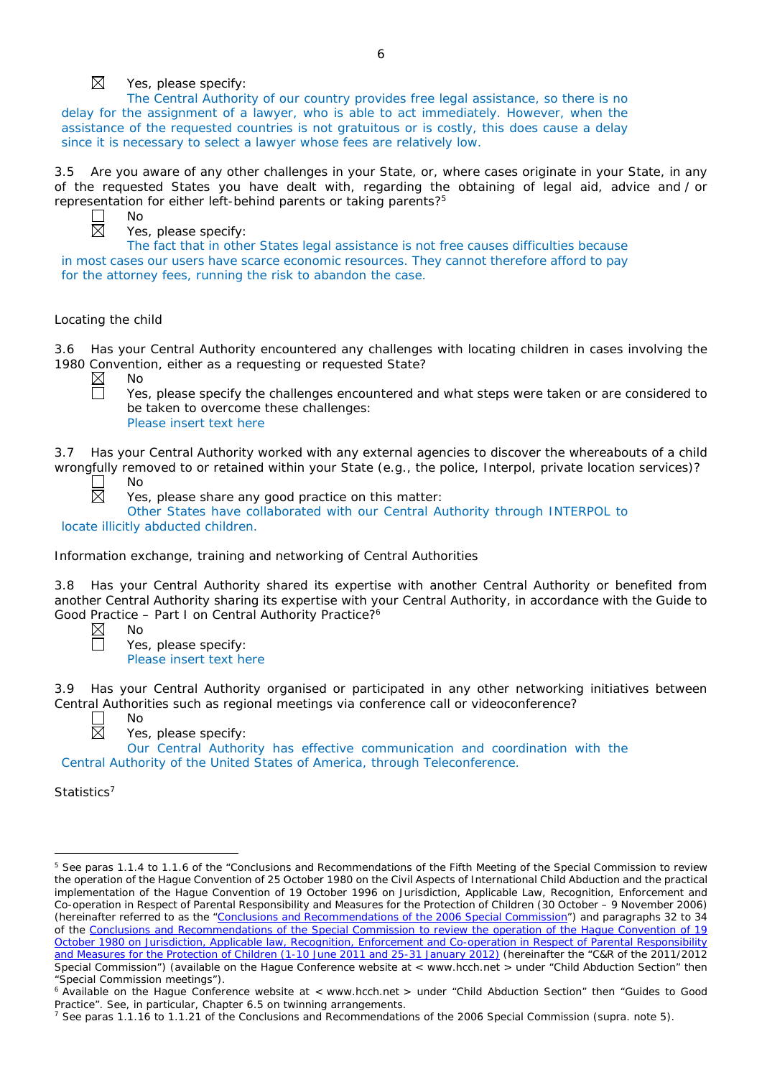

## Yes, please specify:

The Central Authority of our country provides free legal assistance, so there is no delay for the assignment of a lawyer, who is able to act immediately. However, when the assistance of the requested countries is not gratuitous or is costly, this does cause a delay since it is necessary to select a lawyer whose fees are relatively low.

3.5 Are you aware of any other challenges in your State, or, where cases originate in your State, in any of the requested States you have dealt with, regarding the obtaining of legal aid, advice and / or representation for either left-behind parents or taking parents?<sup>5</sup>



No

Yes, please specify:

The fact that in other States legal assistance is not free causes difficulties because in most cases our users have scarce economic resources. They cannot therefore afford to pay for the attorney fees, running the risk to abandon the case.

#### *Locating the child*

3.6 Has your Central Authority encountered any challenges with locating children in cases involving the 1980 Convention, either as a requesting or requested State?<br>  $\boxtimes$  No

No  $\Box$ 

Yes, please specify the challenges encountered and what steps were taken or are considered to be taken to overcome these challenges: Please insert text here

3.7 Has your Central Authority worked with any external agencies to discover the whereabouts of a child wrongfully removed to or retained within your State (*e.g.*, the police, Interpol, private location services)?

 $\Box$ No 闵

Yes, please share any good practice on this matter:

Other States have collaborated with our Central Authority through INTERPOL to locate illicitly abducted children.

## *Information exchange, training and networking of Central Authorities*

3.8 Has your Central Authority shared its expertise with another Central Authority or benefited from another Central Authority sharing its expertise with your Central Authority, in accordance with the Guide to Good Practice – Part I on Central Authority Practice?6

No

Yes, please specify: Please insert text here

Has your Central Authority organised or participated in any other networking initiatives between Central Authorities such as regional meetings via conference call or videoconference?

|     | NΩ |
|-----|----|
| . . |    |

Yes, please specify:

Our Central Authority has effective communication and coordination with the Central Authority of the United States of America, through Teleconference.

*Statistics*<sup>7</sup>

 $\overline{a}$ 

<sup>5</sup> See paras 1.1.4 to 1.1.6 of the "Conclusions and Recommendations of the Fifth Meeting of the Special Commission to review the operation of the *Hague Convention of 25 October 1980 on the Civil Aspects of International Child Abduction* and the practical implementation of the *Hague Convention of 19 October 1996 on Jurisdiction, Applicable Law, Recognition, Enforcement and Co-operation in Respect of Parental Responsibility and Measures for the Protection of Children* (30 October – 9 November 2006) (hereinafter referred to as the ["Conclusions and Recommendations of the 2006 Special Commission"](https://assets.hcch.net/upload/concl28sc5_e.pdf)) and paragraphs 32 to 34 of the [Conclusions and Recommendations of the Special Commission](https://assets.hcch.net/upload/wop/concl28sc6_e.pdf) to review the operation of the Hague Convention of *19 October 1980 on Jurisdiction, Applicable law, [Recognition, Enforcement and Co-operation in Respect of Parental Responsibility](https://assets.hcch.net/upload/wop/concl28sc6_e.pdf)  [and Measures for the Protection of Children](https://assets.hcch.net/upload/wop/concl28sc6_e.pdf)* (1-10 June 2011 and 25-31 January 2012) (hereinafter the "C&R of the 2011/2012 Special Commission") (available on the Hague Conference website at < www.hcch.net > under "Child Abduction Section" then "Special Commission meetings").

<sup>6</sup> Available on the Hague Conference website at < www.hcch.net > under "Child Abduction Section" then "Guides to Good Practice". See, in particular, Chapter 6.5 on twinning arrangements.

<sup>7</sup> See paras 1.1.16 to 1.1.21 of the Conclusions and Recommendations of the 2006 Special Commission (*supra.* note 5).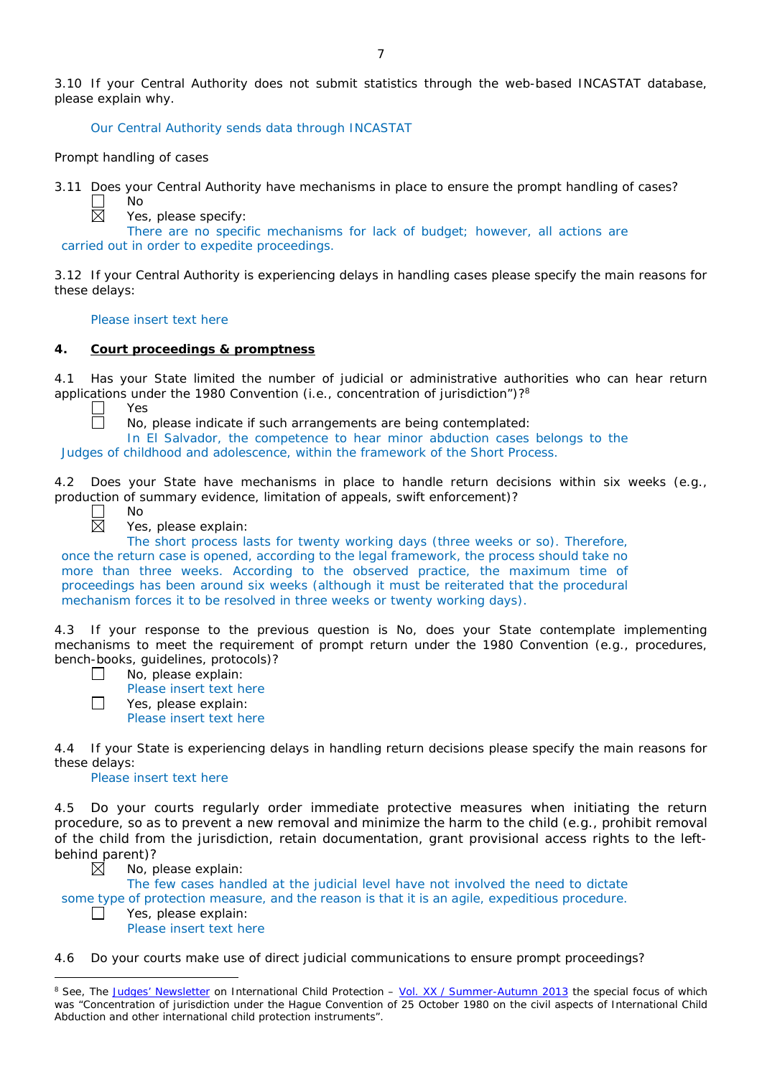3.10 If your Central Authority does not submit statistics through the web-based INCASTAT database, please explain why.

Our Central Authority sends data through INCASTAT

*Prompt handling of cases*

No

3.11 Does your Central Authority have mechanisms in place to ensure the prompt handling of cases?

 $\boxtimes$ 

Yes, please specify:

There are no specific mechanisms for lack of budget; however, all actions are carried out in order to expedite proceedings.

3.12 If your Central Authority is experiencing delays in handling cases please specify the main reasons for these delays:

Please insert text here

#### **4. Court proceedings & promptness**

4.1 Has your State limited the number of judicial or administrative authorities who can hear return applications under the 1980 Convention (*i.e.*, concentration of jurisdiction")?8

Yes

No

No, please indicate if such arrangements are being contemplated:

In El Salvador, the competence to hear minor abduction cases belongs to the Judges of childhood and adolescence, within the framework of the Short Process.

4.2 Does your State have mechanisms in place to handle return decisions within six weeks (*e.g.*, production of summary evidence, limitation of appeals, swift enforcement)?



ñ

Yes, please explain:

The short process lasts for twenty working days (three weeks or so). Therefore, once the return case is opened, according to the legal framework, the process should take no more than three weeks. According to the observed practice, the maximum time of proceedings has been around six weeks (although it must be reiterated that the procedural mechanism forces it to be resolved in three weeks or twenty working days).

4.3 If your response to the previous question is No, does your State contemplate implementing mechanisms to meet the requirement of prompt return under the 1980 Convention (*e.g.*, procedures, bench-books, guidelines, protocols)?

| ____ |  |
|------|--|
|      |  |

П

П

 $\overline{a}$ 

No, please explain: Please insert text here

Yes, please explain:

Please insert text here

4.4 If your State is experiencing delays in handling return decisions please specify the main reasons for these delays:

Please insert text here

4.5 Do your courts regularly order immediate protective measures when initiating the return procedure, so as to prevent a new removal and minimize the harm to the child (*e.g.*, prohibit removal of the child from the jurisdiction, retain documentation, grant provisional access rights to the leftbehind parent)? ⊠

No, please explain:

The few cases handled at the judicial level have not involved the need to dictate some type of protection measure, and the reason is that it is an agile, expeditious procedure.

Yes, please explain: Please insert text here

4.6 Do your courts make use of direct judicial communications to ensure prompt proceedings?

<sup>&</sup>lt;sup>8</sup> See, *The [Judges' Newsletter](https://www.hcch.net/en/instruments/conventions/publications2/judges-newsletter)* on International Child Protection – Vol. XX / [Summer-Autumn 2013](https://assets.hcch.net/upload/newsletter/nl2013tome20en.pdf) the special focus of which was "Concentration of jurisdiction under the *Hague Convention of 25 October 1980 on the civil aspects of International Child Abduction* and other international child protection instruments".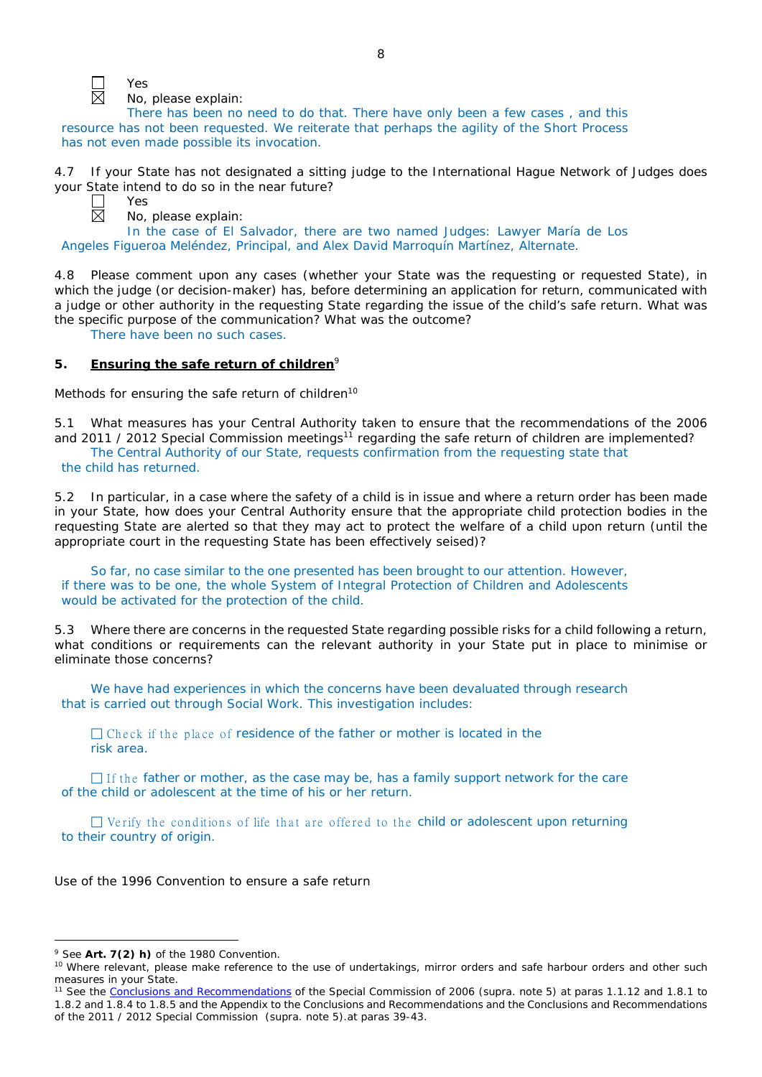

Yes No, please explain:

There has been no need to do that. There have only been a few cases , and this resource has not been requested. We reiterate that perhaps the agility of the Short Process has not even made possible its invocation.

4.7 If your State has not designated a sitting judge to the International Hague Network of Judges does your State intend to do so in the near future?

Yes

No, please explain:

In the case of El Salvador, there are two named Judges: Lawyer María de Los Angeles Figueroa Meléndez, Principal, and Alex David Marroquín Martínez, Alternate.

4.8 Please comment upon any cases (whether your State was the requesting or requested State), in which the judge (or decision-maker) has, before determining an application for return, communicated with a judge or other authority in the requesting State regarding the issue of the child's safe return. What was the specific purpose of the communication? What was the outcome?

There have been no such cases.

## **5. Ensuring the safe return of children**<sup>9</sup>

*Methods for ensuring the safe return of children*<sup>10</sup>

5.1 What measures has your Central Authority taken to ensure that the recommendations of the 2006 and 2011 / 2012 Special Commission meetings<sup>11</sup> regarding the safe return of children are implemented? The Central Authority of our State, requests confirmation from the requesting state that the child has returned.

5.2 In particular, in a case where the safety of a child is in issue and where a return order has been made in your State, how does your Central Authority ensure that the appropriate child protection bodies in the *requesting* State are alerted so that they may act to protect the welfare of a child upon return (until the appropriate court in the requesting State has been effectively seised)?

So far, no case similar to the one presented has been brought to our attention. However, if there was to be one, the whole System of Integral Protection of Children and Adolescents would be activated for the protection of the child.

5.3 Where there are concerns in the requested State regarding possible risks for a child following a return, what conditions or requirements can the relevant authority in your State put in place to minimise or eliminate those concerns?

We have had experiences in which the concerns have been devaluated through research that is carried out through Social Work. This investigation includes:

 $\Box$  Check if the place of residence of the father or mother is located in the risk area.

 $\Box$  If the father or mother, as the case may be, has a family support network for the care of the child or adolescent at the time of his or her return.

 $\Box$  Verify the conditions of life that are offered to the child or adolescent upon returning to their country of origin.

*Use of the 1996 Convention to ensure a safe return*

 $\overline{a}$ 

<sup>9</sup> See **Art. 7(2)** *h)* of the 1980 Convention.

<sup>&</sup>lt;sup>10</sup> Where relevant, please make reference to the use of undertakings, mirror orders and safe harbour orders and other such measures in your State.

<sup>11</sup> See the [Conclusions and Recommendations](https://assets.hcch.net/upload/concl28sc5_e.pdf) of the Special Commission of 2006 (*supra.* note 5) at paras 1.1.12 and 1.8.1 to 1.8.2 and 1.8.4 to 1.8.5 and the Appendix to the Conclusions and Recommendations and the [Conclusions and Recommendations](https://assets.hcch.net/upload/wop/concl28sc6_e.pdf)  of the 2011 / [2012 Special Commission](https://assets.hcch.net/upload/wop/concl28sc6_e.pdf) (*supra.* note 5).at paras 39-43.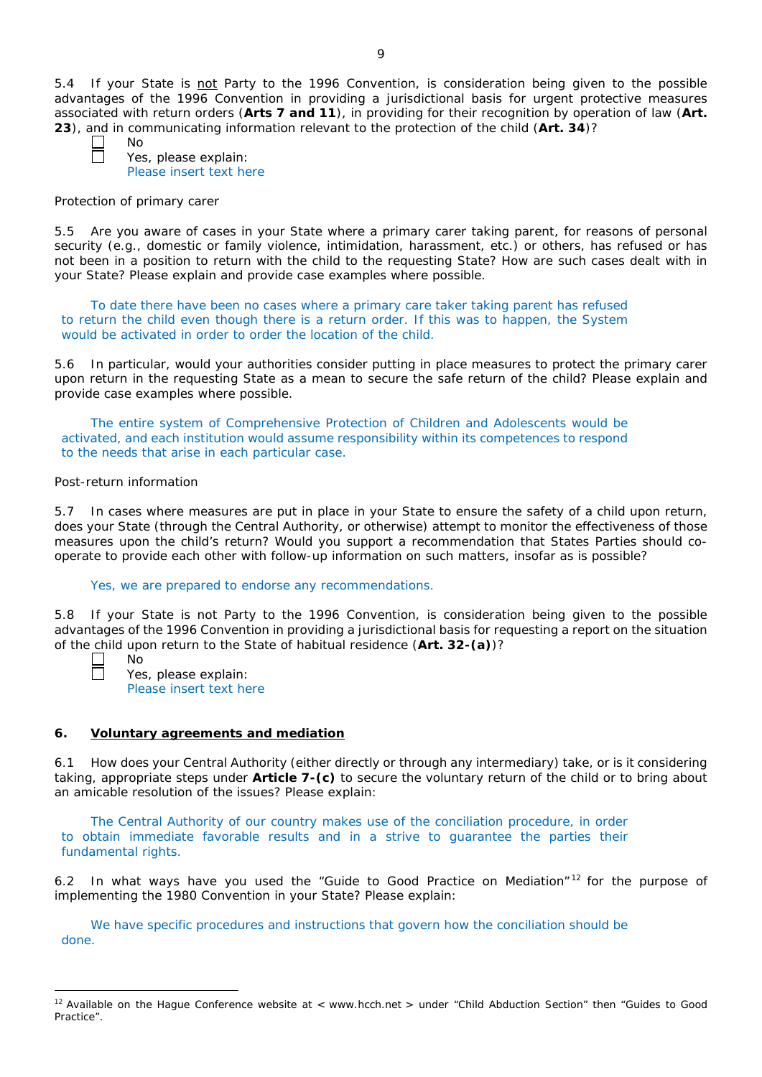5.4 If your State is not Party to the 1996 Convention, is consideration being given to the possible advantages of the 1996 Convention in providing a jurisdictional basis for urgent protective measures associated with return orders (**Arts 7 and 11**), in providing for their recognition by operation of law (**Art. 23**), and in communicating information relevant to the protection of the child (**Art. 34**)?

No Yes, please explain: Please insert text here

## *Protection of primary carer*

5.5 Are you aware of cases in your State where a primary carer taking parent, for reasons of personal security (*e.g.*, domestic or family violence, intimidation, harassment, etc.) or others, has refused or has not been in a position to return with the child to the requesting State? How are such cases dealt with in your State? Please explain and provide case examples where possible.

To date there have been no cases where a primary care taker taking parent has refused to return the child even though there is a return order. If this was to happen, the System would be activated in order to order the location of the child.

5.6 In particular, would your authorities consider putting in place measures to protect the primary carer upon return in the requesting State as a mean to secure the safe return of the child? Please explain and provide case examples where possible.

The entire system of Comprehensive Protection of Children and Adolescents would be activated, and each institution would assume responsibility within its competences to respond to the needs that arise in each particular case.

## *Post-return information*

5.7 In cases where measures are put in place in your State to ensure the safety of a child upon return, does your State (through the Central Authority, or otherwise) attempt to monitor the effectiveness of those measures upon the child's return? Would you support a recommendation that States Parties should cooperate to provide each other with follow-up information on such matters, insofar as is possible?

## Yes, we are prepared to endorse any recommendations.

5.8 If your State is not Party to the 1996 Convention, is consideration being given to the possible advantages of the 1996 Convention in providing a jurisdictional basis for requesting a report on the situation of the child upon return to the State of habitual residence (**Art. 32-(a)**)?

 $N<sub>0</sub>$ 

Yes, please explain: Please insert text here

# **6. Voluntary agreements and mediation**

6.1 How does your Central Authority (either directly or through any intermediary) take, or is it considering taking, appropriate steps under **Article 7-(c)** to secure the voluntary return of the child or to bring about an amicable resolution of the issues? Please explain:

The Central Authority of our country makes use of the conciliation procedure, in order to obtain immediate favorable results and in a strive to guarantee the parties their fundamental rights.

6.2 In what ways have you used the "Guide to Good Practice on Mediation" $12$  for the purpose of implementing the 1980 Convention in your State? Please explain:

We have specific procedures and instructions that govern how the conciliation should be done.

 $\overline{a}$  $12$  Available on the Hague Conference website at < www.hcch.net > under "Child Abduction Section" then "Guides to Good Practice".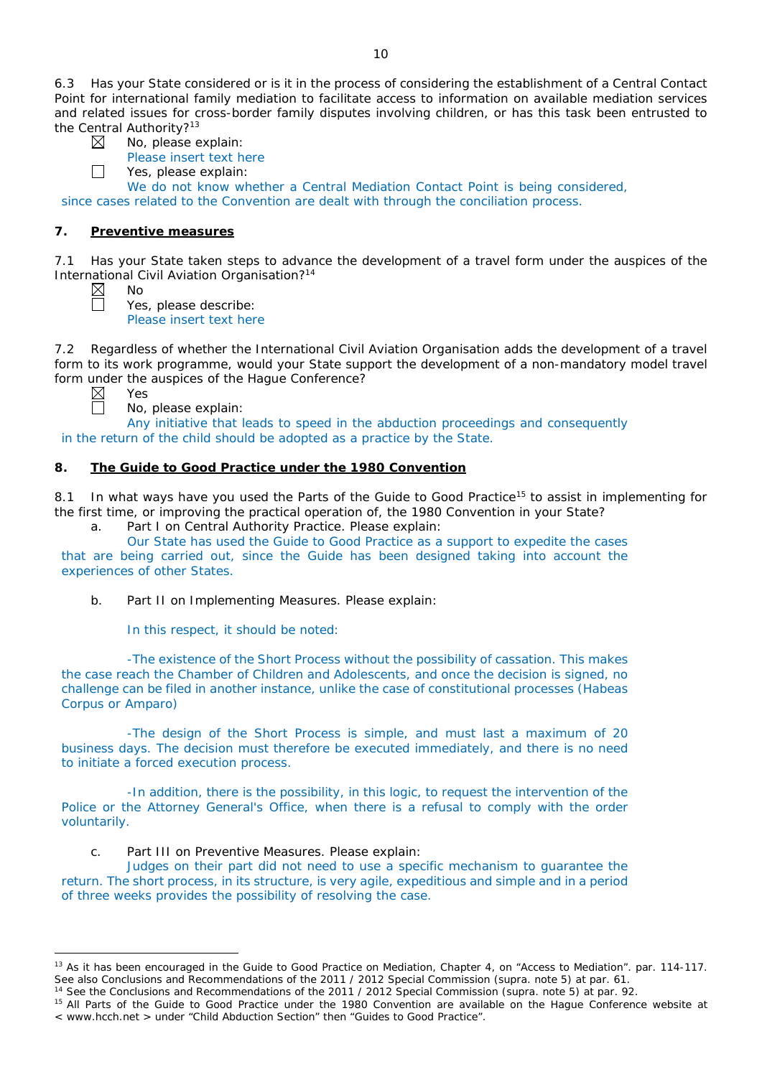6.3 Has your State considered or is it in the process of considering the establishment of a Central Contact Point for international family mediation to facilitate access to information on available mediation services and related issues for cross-border family disputes involving children, or has this task been entrusted to the Central Authority?<sup>13</sup>

 $\Box$ 

No, please explain: Please insert text here

Yes, please explain:

We do not know whether a Central Mediation Contact Point is being considered. since cases related to the Convention are dealt with through the conciliation process.

# **7. Preventive measures**

No

Yes

7.1 Has your State taken steps to advance the development of a travel form under the auspices of the International Civil Aviation Organisation?14

Yes, please describe: Please insert text here

7.2 Regardless of whether the International Civil Aviation Organisation adds the development of a travel form to its work programme, would your State support the development of a non-mandatory model travel form under the auspices of the Hague Conference?

 $\boxtimes$ 

 $\overline{a}$ 



No, please explain: Any initiative that leads to speed in the abduction proceedings and consequently

# in the return of the child should be adopted as a practice by the State.

# **8. The Guide to Good Practice under the 1980 Convention**

8.1 In what ways have you used the Parts of the Guide to Good Practice<sup>15</sup> to assist in implementing for the first time, or improving the practical operation of, the 1980 Convention in your State?

a. Part I on Central Authority Practice. Please explain:

Our State has used the Guide to Good Practice as a support to expedite the cases

that are being carried out, since the Guide has been designed taking into account the experiences of other States.

b. Part II on Implementing Measures. Please explain:

In this respect, it should be noted:

-The existence of the Short Process without the possibility of cassation. This makes the case reach the Chamber of Children and Adolescents, and once the decision is signed, no challenge can be filed in another instance, unlike the case of constitutional processes (Habeas Corpus or Amparo)

-The design of the Short Process is simple, and must last a maximum of 20 business days. The decision must therefore be executed immediately, and there is no need to initiate a forced execution process.

-In addition, there is the possibility, in this logic, to request the intervention of the Police or the Attorney General's Office, when there is a refusal to comply with the order voluntarily.

c. Part III on Preventive Measures. Please explain:

Judges on their part did not need to use a specific mechanism to guarantee the return. The short process, in its structure, is very agile, expeditious and simple and in a period of three weeks provides the possibility of resolving the case.

<sup>&</sup>lt;sup>13</sup> As it has been encouraged in the Guide to Good Practice on Mediation, Chapter 4, on "Access to Mediation". par. 114-117. See also [Conclusions and Recommendations of the 2011](https://assets.hcch.net/upload/wop/concl28sc6_e.pdf) / 2012 Special Commission (*supra.* note 5) at par. 61.

<sup>14</sup> See the [Conclusions and Recommendations of the 2011](https://assets.hcch.net/upload/wop/concl28sc6_e.pdf) / 2012 Special Commission (*supra.* note 5) at par. 92.

<sup>&</sup>lt;sup>15</sup> All Parts of the Guide to Good Practice under the 1980 Convention are available on the Hague Conference website at < www.hcch.net > under "Child Abduction Section" then "Guides to Good Practice".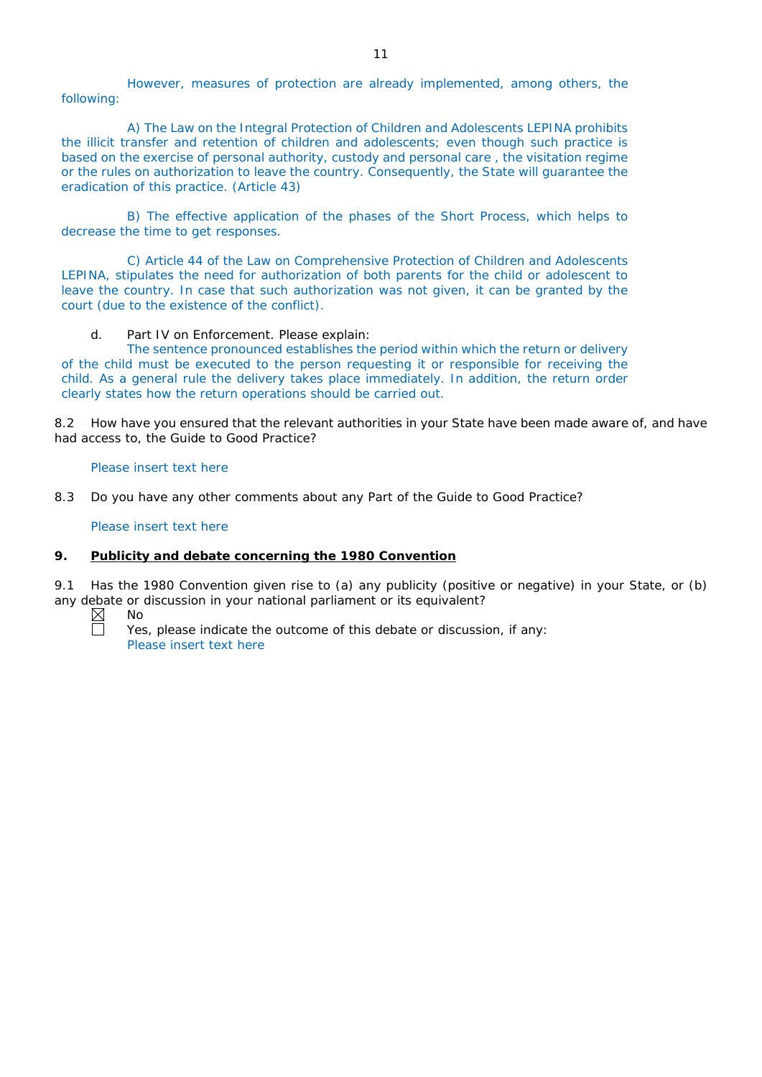However, measures of protection are already implemented, among others, the following:

A) The Law on the Integral Protection of Children and Adolescents LEPINA prohibits the illicit transfer and retention of children and adolescents; even though such practice is based on the exercise of personal authority, custody and personal care , the visitation regime or the rules on authorization to leave the country. Consequently, the State will guarantee the eradication of this practice. (Article 43)

B) The effective application of the phases of the Short Process, which helps to decrease the time to get responses.

C) Article 44 of the Law on Comprehensive Protection of Children and Adolescents LEPINA, stipulates the need for authorization of both parents for the child or adolescent to leave the country. In case that such authorization was not given, it can be granted by the court (due to the existence of the conflict).

d. Part IV on Enforcement. Please explain:

The sentence pronounced establishes the period within which the return or delivery of the child must be executed to the person requesting it or responsible for receiving the child. As a general rule the delivery takes place immediately. In addition, the return order clearly states how the return operations should be carried out.

8.2 How have you ensured that the relevant authorities in your State have been made aware of, and have had access to, the Guide to Good Practice?

Please insert text here

8.3 Do you have any other comments about any Part of the Guide to Good Practice?

Please insert text here

## **9. Publicity and debate concerning the 1980 Convention**

9.1 Has the 1980 Convention given rise to (a) any publicity (positive or negative) in your State, or (b) any debate or discussion in your national parliament or its equivalent?<br>  $\boxtimes$  No<br>  $\Box$  Yes please indicate the outcome of this debate or discussion

No

Yes, please indicate the outcome of this debate or discussion, if any: Please insert text here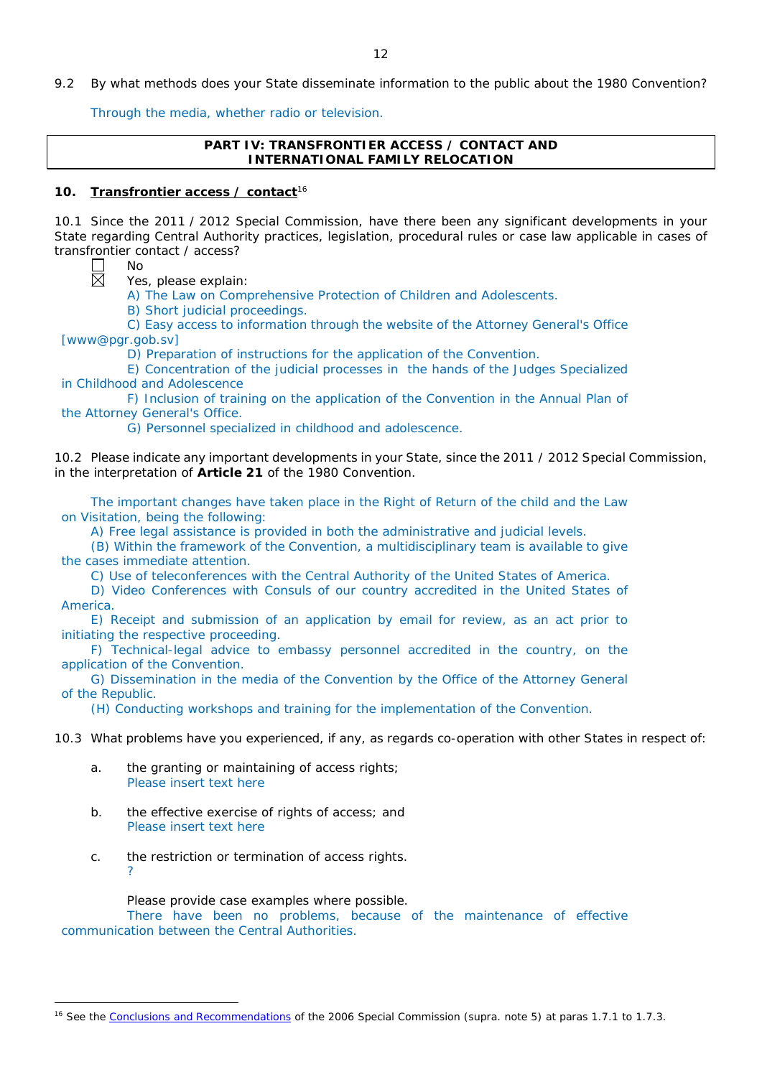9.2 By what methods does your State disseminate information to the public about the 1980 Convention?

Through the media, whether radio or television.

## **PART IV: TRANSFRONTIER ACCESS / CONTACT AND INTERNATIONAL FAMILY RELOCATION**

## **10. Transfrontier access / contact**<sup>16</sup>

10.1 Since the 2011 / 2012 Special Commission, have there been any significant developments in your State regarding Central Authority practices, legislation, procedural rules or case law applicable in cases of transfrontier contact / access?

岗

 $\overline{a}$ 

No

Yes, please explain:

A) The Law on Comprehensive Protection of Children and Adolescents.

B) Short judicial proceedings.

C) Easy access to information through the website of the Attorney General's Office [www@pgr.gob.sv]

D) Preparation of instructions for the application of the Convention.

E) Concentration of the judicial processes in the hands of the Judges Specialized in Childhood and Adolescence

F) Inclusion of training on the application of the Convention in the Annual Plan of the Attorney General's Office.

G) Personnel specialized in childhood and adolescence.

10.2 Please indicate any important developments in your State, since the 2011 / 2012 Special Commission, in the interpretation of **Article 21** of the 1980 Convention.

The important changes have taken place in the Right of Return of the child and the Law on Visitation, being the following:

A) Free legal assistance is provided in both the administrative and judicial levels.

(B) Within the framework of the Convention, a multidisciplinary team is available to give the cases immediate attention.

C) Use of teleconferences with the Central Authority of the United States of America.

D) Video Conferences with Consuls of our country accredited in the United States of America.

E) Receipt and submission of an application by email for review, as an act prior to initiating the respective proceeding.

F) Technical-legal advice to embassy personnel accredited in the country, on the application of the Convention.

G) Dissemination in the media of the Convention by the Office of the Attorney General of the Republic.

(H) Conducting workshops and training for the implementation of the Convention.

10.3 What problems have you experienced, if any, as regards co-operation with other States in respect of:

- a. the granting or maintaining of access rights; Please insert text here
- b. the effective exercise of rights of access; and Please insert text here
- c. the restriction or termination of access rights. ?

Please provide case examples where possible.

There have been no problems, because of the maintenance of effective communication between the Central Authorities.

<sup>16</sup> See the [Conclusions and Recommendations](https://assets.hcch.net/upload/concl28sc5_e.pdf) of the 2006 Special Commission (*supra.* note 5) at paras 1.7.1 to 1.7.3.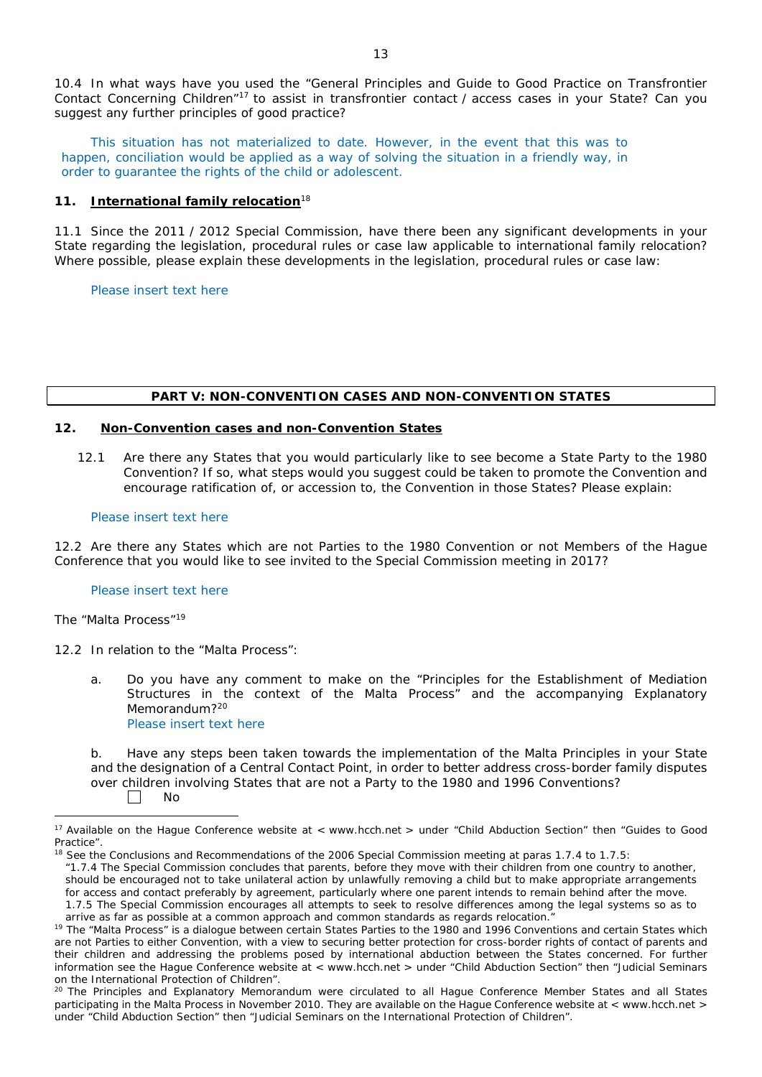10.4 In what ways have you used the "General Principles and Guide to Good Practice on Transfrontier Contact Concerning Children"17 to assist in transfrontier contact / access cases in your State? Can you suggest any further principles of good practice?

This situation has not materialized to date. However, in the event that this was to happen, conciliation would be applied as a way of solving the situation in a friendly way, in order to guarantee the rights of the child or adolescent.

## **11. International family relocation**<sup>18</sup>

11.1 Since the 2011 / 2012 Special Commission, have there been any significant developments in your State regarding the legislation, procedural rules or case law applicable to international family relocation? Where possible, please explain these developments in the legislation, procedural rules or case law:

Please insert text here

#### **PART V: NON-CONVENTION CASES AND NON-CONVENTION STATES**

## **12. Non-Convention cases and non-Convention States**

12.1 Are there any States that you would particularly like to see become a State Party to the 1980 Convention? If so, what steps would you suggest could be taken to promote the Convention and encourage ratification of, or accession to, the Convention in those States? Please explain:

#### Please insert text here

12.2 Are there any States which are not Parties to the 1980 Convention or not Members of the Hague Conference that you would like to see invited to the Special Commission meeting in 2017?

#### Please insert text here

#### *The "Malta Process"*<sup>19</sup>

 $\overline{a}$ 

12.2 In relation to the "Malta Process":

a. Do you have any comment to make on the "Principles for the Establishment of Mediation Structures in the context of the Malta Process" and the accompanying Explanatory Memorandum?<sup>20</sup> Please insert text here

b. Have any steps been taken towards the implementation of the Malta Principles in your State and the designation of a Central Contact Point, in order to better address cross-border family disputes over children involving States that are not a Party to the 1980 and 1996 Conventions? П

*"*1.7.4 The Special Commission concludes that parents, before they move with their children from one country to another, should be encouraged not to take unilateral action by unlawfully removing a child but to make appropriate arrangements for access and contact preferably by agreement, particularly where one parent intends to remain behind after the move.

No

<sup>&</sup>lt;sup>17</sup> Available on the Hague Conference website at < www.hcch.net > under "Child Abduction Section" then "Guides to Good Practice".

See the Conclusions and Recommendations of the 2006 Special Commission meeting at paras 1.7.4 to 1.7.5:

<sup>1.7.5</sup> The Special Commission encourages all attempts to seek to resolve differences among the legal systems so as to arrive as far as possible at a common approach and common standards as regards relocation."

<sup>&</sup>lt;sup>19</sup> The "Malta Process" is a dialoque between certain States Parties to the 1980 and 1996 Conventions and certain States which are not Parties to either Convention, with a view to securing better protection for cross-border rights of contact of parents and their children and addressing the problems posed by international abduction between the States concerned. For further information see the Hague Conference website at < www.hcch.net > under "Child Abduction Section" then "Judicial Seminars on the International Protection of Children".

<sup>&</sup>lt;sup>20</sup> The Principles and Explanatory Memorandum were circulated to all Hague Conference Member States and all States participating in the Malta Process in November 2010. They are available on the Hague Conference website at < www.hcch.net > under "Child Abduction Section" then "Judicial Seminars on the International Protection of Children".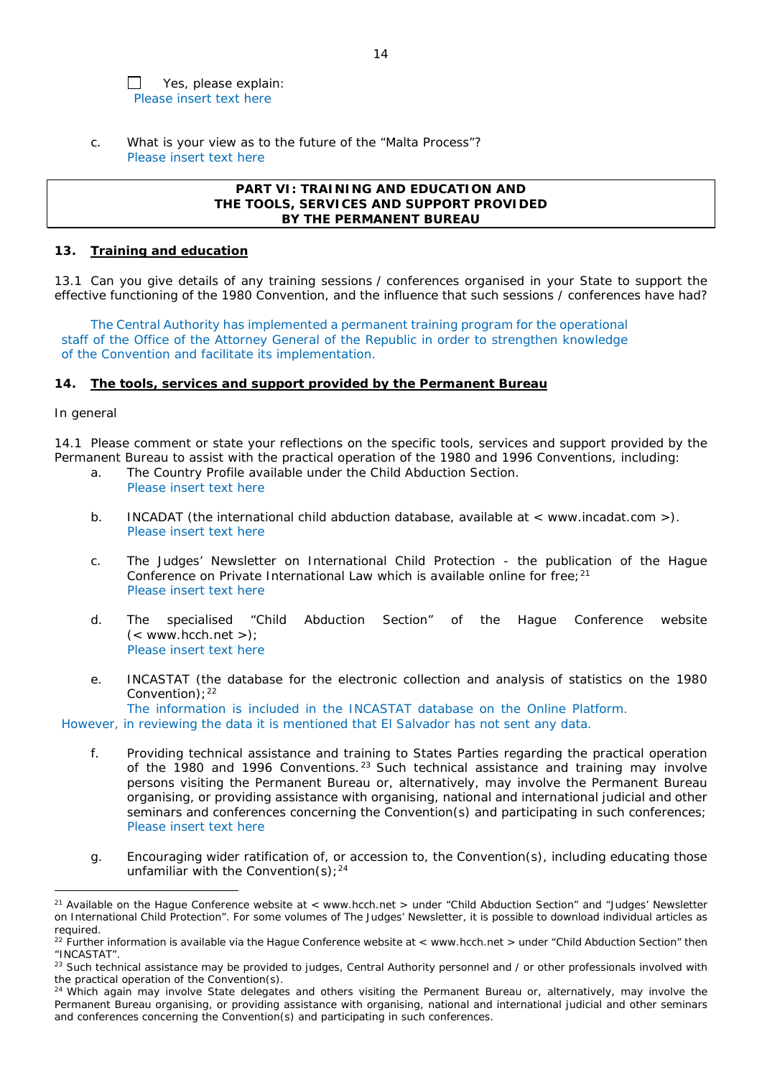Yes, please explain:  $\Box$ Please insert text here

c. What is your view as to the future of the "Malta Process"? Please insert text here

## **PART VI: TRAINING AND EDUCATION AND THE TOOLS, SERVICES AND SUPPORT PROVIDED BY THE PERMANENT BUREAU**

## **13. Training and education**

13.1 Can you give details of any training sessions / conferences organised in your State to support the effective functioning of the 1980 Convention, and the influence that such sessions / conferences have had?

The Central Authority has implemented a permanent training program for the operational staff of the Office of the Attorney General of the Republic in order to strengthen knowledge of the Convention and facilitate its implementation.

## **14. The tools, services and support provided by the Permanent Bureau**

## *In general*

 $\overline{a}$ 

14.1 Please comment or state your reflections on the specific tools, services and support provided by the Permanent Bureau to assist with the practical operation of the 1980 and 1996 Conventions, including:

- a. The Country Profile available under the Child Abduction Section. Please insert text here
- b. INCADAT (the international child abduction database, available at < www.incadat.com >). Please insert text here
- c. *The Judges' Newsletter* on International Child Protection the publication of the Hague Conference on Private International Law which is available online for free;<sup>21</sup> Please insert text here
- d. The specialised "Child Abduction Section" of the Hague Conference website  $(<$  www.hcch.net >); Please insert text here
- e. INCASTAT (the database for the electronic collection and analysis of statistics on the 1980 Convention);  $22$

The information is included in the INCASTAT database on the Online Platform. However, in reviewing the data it is mentioned that El Salvador has not sent any data.

- f. Providing technical assistance and training to States Parties regarding the practical operation of the 1980 and 1996 Conventions. <sup>23</sup> Such technical assistance and training may involve persons visiting the Permanent Bureau or, alternatively, may involve the Permanent Bureau organising, or providing assistance with organising, national and international judicial and other seminars and conferences concerning the Convention(s) and participating in such conferences; Please insert text here
- g. Encouraging wider ratification of, or accession to, the Convention(s), including educating those unfamiliar with the Convention(s);  $24$

<sup>&</sup>lt;sup>21</sup> Available on the Hague Conference website at < www.hcch.net > under "Child Abduction Section" and "Judges' Newsletter on International Child Protection". For some volumes of *The Judges' Newsletter*, it is possible to download individual articles as required.

 $22$  Further information is available via the Hague Conference website at < www.hcch.net > under "Child Abduction Section" then "INCASTAT".

<sup>&</sup>lt;sup>23</sup> Such technical assistance may be provided to judges, Central Authority personnel and / or other professionals involved with the practical operation of the Convention(s).

 $24$  Which again may involve State delegates and others visiting the Permanent Bureau or, alternatively, may involve the Permanent Bureau organising, or providing assistance with organising, national and international judicial and other seminars and conferences concerning the Convention(s) and participating in such conferences.